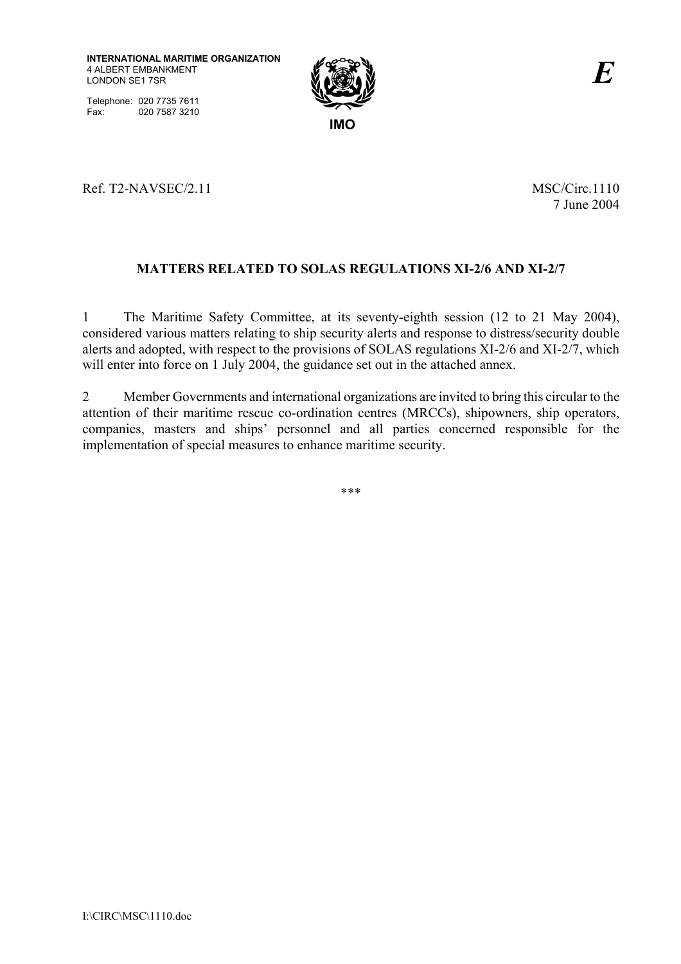Telephone: 020 7735 7611 Fax: 020 7587 3210



Ref. T2-NAVSEC/2.11 MSC/Circ.1110

7 June 2004

# **MATTERS RELATED TO SOLAS REGULATIONS XI-2/6 AND XI-2/7**

1 The Maritime Safety Committee, at its seventy-eighth session (12 to 21 May 2004), considered various matters relating to ship security alerts and response to distress/security double alerts and adopted, with respect to the provisions of SOLAS regulations XI-2/6 and XI-2/7, which will enter into force on 1 July 2004, the guidance set out in the attached annex.

2 Member Governments and international organizations are invited to bring this circular to the attention of their maritime rescue co-ordination centres (MRCCs), shipowners, ship operators, companies, masters and ships' personnel and all parties concerned responsible for the implementation of special measures to enhance maritime security.

\*\*\*

I:\CIRC\MSC\1110.doc